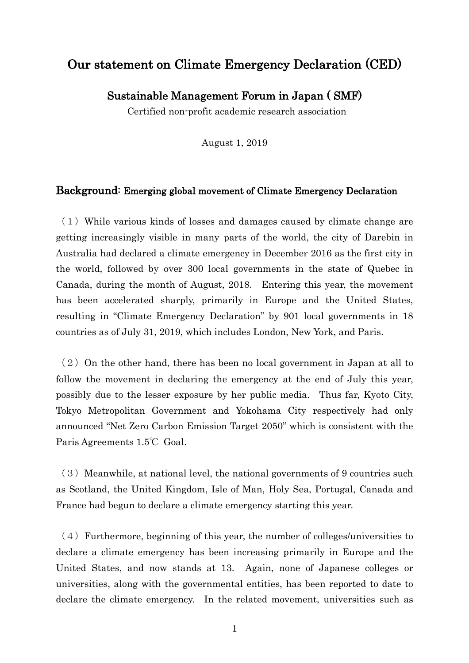## Our statement on Climate Emergency Declaration (CED)

Sustainable Management Forum in Japan ( SMF)

Certified non-profit academic research association

August 1, 2019

## Background: Emerging global movement of Climate Emergency Declaration

 $(1)$  While various kinds of losses and damages caused by climate change are getting increasingly visible in many parts of the world, the city of Darebin in Australia had declared a climate emergency in December 2016 as the first city in the world, followed by over 300 local governments in the state of Quebec in Canada, during the month of August, 2018. Entering this year, the movement has been accelerated sharply, primarily in Europe and the United States, resulting in "Climate Emergency Declaration" by 901 local governments in 18 countries as of July 31, 2019, which includes London, New York, and Paris.

 $(2)$  On the other hand, there has been no local government in Japan at all to follow the movement in declaring the emergency at the end of July this year, possibly due to the lesser exposure by her public media. Thus far, Kyoto City, Tokyo Metropolitan Government and Yokohama City respectively had only announced "Net Zero Carbon Emission Target 2050" which is consistent with the Paris Agreements 1.5℃ Goal.

 $(3)$  Meanwhile, at national level, the national governments of 9 countries such as Scotland, the United Kingdom, Isle of Man, Holy Sea, Portugal, Canada and France had begun to declare a climate emergency starting this year.

 $(4)$  Furthermore, beginning of this year, the number of colleges/universities to declare a climate emergency has been increasing primarily in Europe and the United States, and now stands at 13. Again, none of Japanese colleges or universities, along with the governmental entities, has been reported to date to declare the climate emergency. In the related movement, universities such as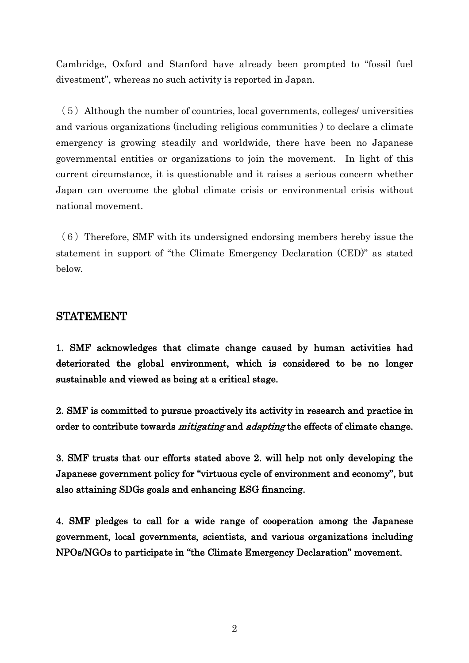Cambridge, Oxford and Stanford have already been prompted to "fossil fuel divestment", whereas no such activity is reported in Japan.

 $(5)$  Although the number of countries, local governments, colleges/ universities and various organizations (including religious communities ) to declare a climate emergency is growing steadily and worldwide, there have been no Japanese governmental entities or organizations to join the movement. In light of this current circumstance, it is questionable and it raises a serious concern whether Japan can overcome the global climate crisis or environmental crisis without national movement.

 $(6)$  Therefore, SMF with its undersigned endorsing members hereby issue the statement in support of "the Climate Emergency Declaration (CED)" as stated below.

## STATEMENT

1. SMF acknowledges that climate change caused by human activities had deteriorated the global environment, which is considered to be no longer sustainable and viewed as being at a critical stage.

2. SMF is committed to pursue proactively its activity in research and practice in order to contribute towards *mitigating* and *adapting* the effects of climate change.

3. SMF trusts that our efforts stated above 2. will help not only developing the Japanese government policy for "virtuous cycle of environment and economy", but also attaining SDGs goals and enhancing ESG financing.

4. SMF pledges to call for a wide range of cooperation among the Japanese government, local governments, scientists, and various organizations including NPOs/NGOs to participate in "the Climate Emergency Declaration" movement.